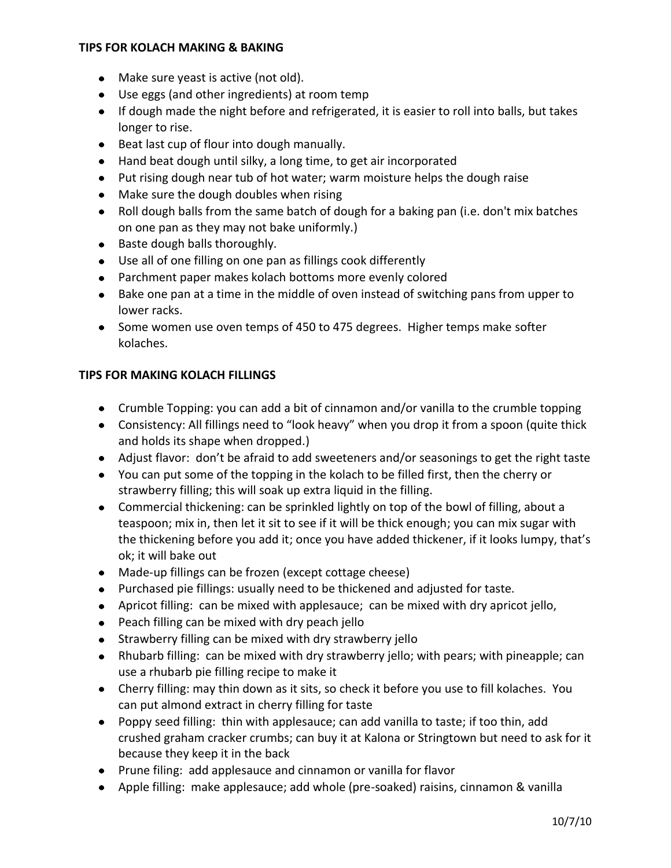## **TIPS FOR KOLACH MAKING & BAKING**

- Make sure yeast is active (not old).
- Use eggs (and other ingredients) at room temp
- If dough made the night before and refrigerated, it is easier to roll into balls, but takes longer to rise.
- Beat last cup of flour into dough manually.
- Hand beat dough until silky, a long time, to get air incorporated
- Put rising dough near tub of hot water; warm moisture helps the dough raise
- Make sure the dough doubles when rising
- Roll dough balls from the same batch of dough for a baking pan (i.e. don't mix batches on one pan as they may not bake uniformly.)
- Baste dough balls thoroughly.
- Use all of one filling on one pan as fillings cook differently
- Parchment paper makes kolach bottoms more evenly colored
- Bake one pan at a time in the middle of oven instead of switching pans from upper to lower racks.
- Some women use oven temps of 450 to 475 degrees. Higher temps make softer kolaches.

## **TIPS FOR MAKING KOLACH FILLINGS**

- Crumble Topping: you can add a bit of cinnamon and/or vanilla to the crumble topping
- Consistency: All fillings need to "look heavy" when you drop it from a spoon (quite thick and holds its shape when dropped.)
- Adjust flavor: don't be afraid to add sweeteners and/or seasonings to get the right taste
- You can put some of the topping in the kolach to be filled first, then the cherry or strawberry filling; this will soak up extra liquid in the filling.
- Commercial thickening: can be sprinkled lightly on top of the bowl of filling, about a teaspoon; mix in, then let it sit to see if it will be thick enough; you can mix sugar with the thickening before you add it; once you have added thickener, if it looks lumpy, that's ok; it will bake out
- Made-up fillings can be frozen (except cottage cheese)
- Purchased pie fillings: usually need to be thickened and adjusted for taste.
- Apricot filling: can be mixed with applesauce; can be mixed with dry apricot jello,
- Peach filling can be mixed with dry peach jello
- Strawberry filling can be mixed with dry strawberry jello
- Rhubarb filling: can be mixed with dry strawberry jello; with pears; with pineapple; can use a rhubarb pie filling recipe to make it
- Cherry filling: may thin down as it sits, so check it before you use to fill kolaches. You can put almond extract in cherry filling for taste
- Poppy seed filling: thin with applesauce; can add vanilla to taste; if too thin, add crushed graham cracker crumbs; can buy it at Kalona or Stringtown but need to ask for it because they keep it in the back
- Prune filing: add applesauce and cinnamon or vanilla for flavor
- Apple filling: make applesauce; add whole (pre-soaked) raisins, cinnamon & vanilla